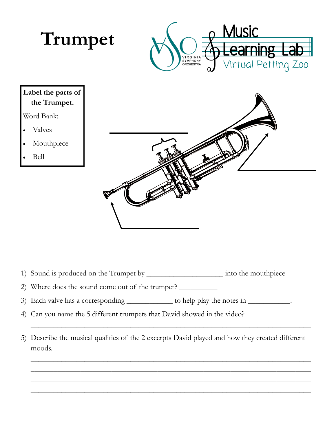

1) Sound is produced on the Trumpet by \_\_\_\_\_\_\_\_\_\_\_\_\_\_\_\_\_\_\_\_ into the mouthpiece

2) Where does the sound come out of the trumpet? \_\_\_\_\_\_\_\_\_\_

3) Each valve has a corresponding \_\_\_\_\_\_\_\_\_\_\_\_ to help play the notes in \_\_\_\_\_\_\_\_\_\_.

4) Can you name the 5 different trumpets that David showed in the video?

5) Describe the musical qualities of the 2 excerpts David played and how they created different moods.

\_\_\_\_\_\_\_\_\_\_\_\_\_\_\_\_\_\_\_\_\_\_\_\_\_\_\_\_\_\_\_\_\_\_\_\_\_\_\_\_\_\_\_\_\_\_\_\_\_\_\_\_\_\_\_\_\_\_\_\_\_\_\_\_\_\_\_\_\_\_\_\_\_

\_\_\_\_\_\_\_\_\_\_\_\_\_\_\_\_\_\_\_\_\_\_\_\_\_\_\_\_\_\_\_\_\_\_\_\_\_\_\_\_\_\_\_\_\_\_\_\_\_\_\_\_\_\_\_\_\_\_\_\_\_\_\_\_\_\_\_\_\_\_\_\_\_ \_\_\_\_\_\_\_\_\_\_\_\_\_\_\_\_\_\_\_\_\_\_\_\_\_\_\_\_\_\_\_\_\_\_\_\_\_\_\_\_\_\_\_\_\_\_\_\_\_\_\_\_\_\_\_\_\_\_\_\_\_\_\_\_\_\_\_\_\_\_\_\_\_ \_\_\_\_\_\_\_\_\_\_\_\_\_\_\_\_\_\_\_\_\_\_\_\_\_\_\_\_\_\_\_\_\_\_\_\_\_\_\_\_\_\_\_\_\_\_\_\_\_\_\_\_\_\_\_\_\_\_\_\_\_\_\_\_\_\_\_\_\_\_\_\_\_ \_\_\_\_\_\_\_\_\_\_\_\_\_\_\_\_\_\_\_\_\_\_\_\_\_\_\_\_\_\_\_\_\_\_\_\_\_\_\_\_\_\_\_\_\_\_\_\_\_\_\_\_\_\_\_\_\_\_\_\_\_\_\_\_\_\_\_\_\_\_\_\_\_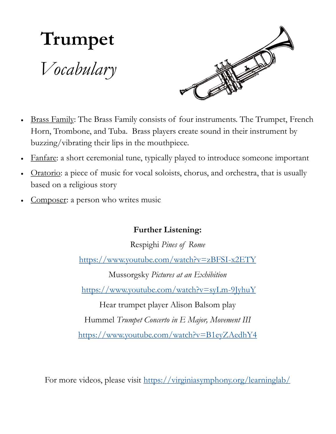

- Brass Family: The Brass Family consists of four instruments. The Trumpet, French Horn, Trombone, and Tuba. Brass players create sound in their instrument by buzzing/vibrating their lips in the mouthpiece.
- Fanfare: a short ceremonial tune, typically played to introduce someone important
- Oratorio: a piece of music for vocal soloists, chorus, and orchestra, that is usually based on a religious story
- Composer: a person who writes music

## **Further Listening:**

Respighi *Pines of Rome*

<https://www.youtube.com/watch?v=zBFSI-x2ETY>

Mussorgsky *Pictures at an Exhibition* <https://www.youtube.com/watch?v=syLm-9JyhuY>

Hear trumpet player Alison Balsom play

Hummel *Trumpet Concerto in E Major, Movement III*

<https://www.youtube.com/watch?v=B1eyZAedhY4>

For more videos, please visit <https://virginiasymphony.org/learninglab/>